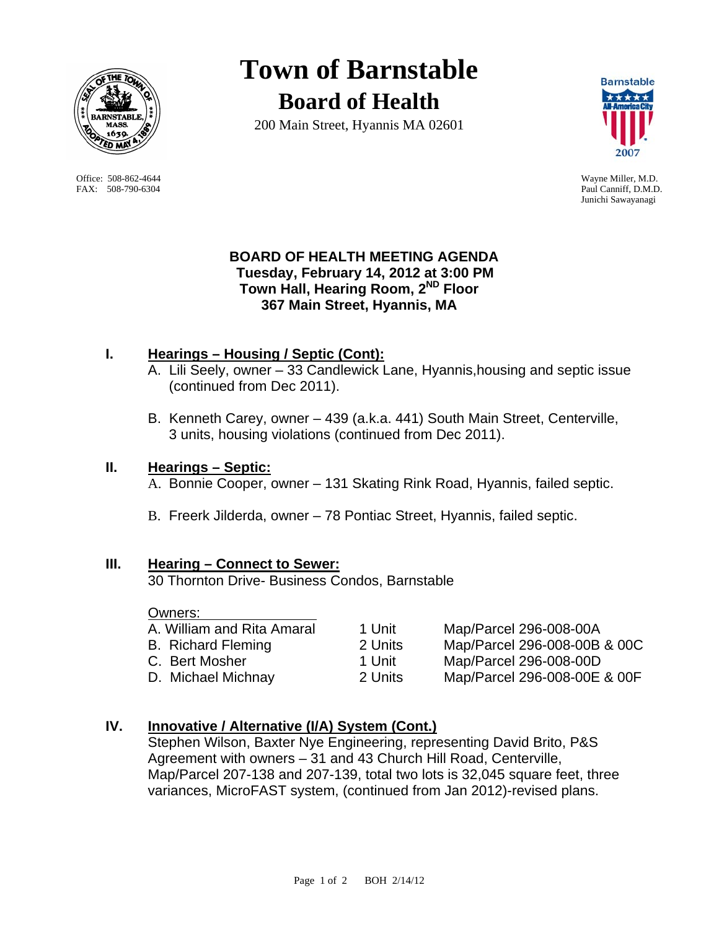

 Office: 508-862-4644 Wayne Miller, M.D. FAX: 508-790-6304 Paul Canniff, D.M.D.

# **Town of Barnstable Board of Health**

200 Main Street, Hyannis MA 02601



Junichi Sawayanagi

# **BOARD OF HEALTH MEETING AGENDA Tuesday, February 14, 2012 at 3:00 PM Town Hall, Hearing Room, 2ND Floor 367 Main Street, Hyannis, MA**

# **I. Hearings – Housing / Septic (Cont):**

- A. Lili Seely, owner 33 Candlewick Lane, Hyannis,housing and septic issue (continued from Dec 2011).
- B. Kenneth Carey, owner 439 (a.k.a. 441) South Main Street, Centerville, 3 units, housing violations (continued from Dec 2011).

# **II. Hearings – Septic:**

- A. Bonnie Cooper, owner 131 Skating Rink Road, Hyannis, failed septic.
- B. Freerk Jilderda, owner 78 Pontiac Street, Hyannis, failed septic.

## **III. Hearing – Connect to Sewer:**

30 Thornton Drive- Business Condos, Barnstable

#### Owners:

| A. William and Rita Amaral |
|----------------------------|
| <b>B.</b> Richard Fleming  |
| C. Bert Mosher             |
| D. Michael Michnay         |
|                            |

1 Unit Map/Parcel 296-008-00A 2 Units Map/Parcel 296-008-00B & 00C 1 Unit Map/Parcel 296-008-00D 2 Units Map/Parcel 296-008-00E & 00F

# **IV. Innovative / Alternative (I/A) System (Cont.)**

Stephen Wilson, Baxter Nye Engineering, representing David Brito, P&S Agreement with owners – 31 and 43 Church Hill Road, Centerville, Map/Parcel 207-138 and 207-139, total two lots is 32,045 square feet, three variances, MicroFAST system, (continued from Jan 2012)-revised plans.